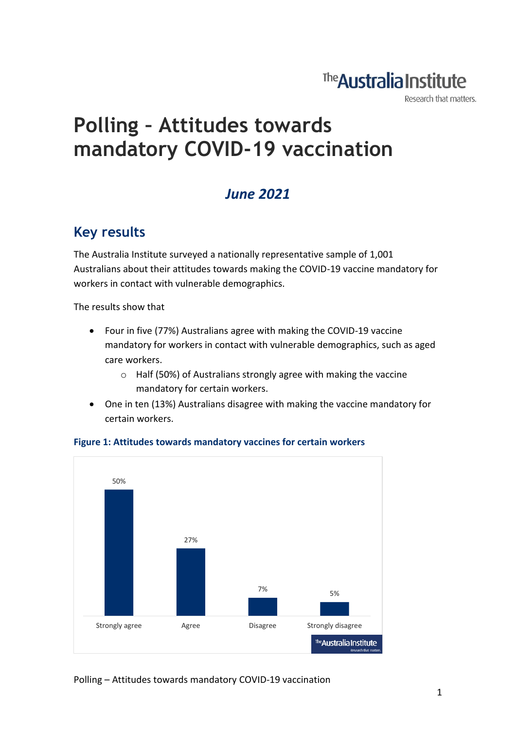## The **Australia Institute**

Research that matters.

# **Polling – Attitudes towards mandatory COVID-19 vaccination**

### *June 2021*

### **Key results**

The Australia Institute surveyed a nationally representative sample of 1,001 Australians about their attitudes towards making the COVID-19 vaccine mandatory for workers in contact with vulnerable demographics.

The results show that

- Four in five (77%) Australians agree with making the COVID-19 vaccine mandatory for workers in contact with vulnerable demographics, such as aged care workers.
	- o Half (50%) of Australians strongly agree with making the vaccine mandatory for certain workers.
- One in ten (13%) Australians disagree with making the vaccine mandatory for certain workers.



#### **Figure 1: Attitudes towards mandatory vaccines for certain workers**

Polling – Attitudes towards mandatory COVID-19 vaccination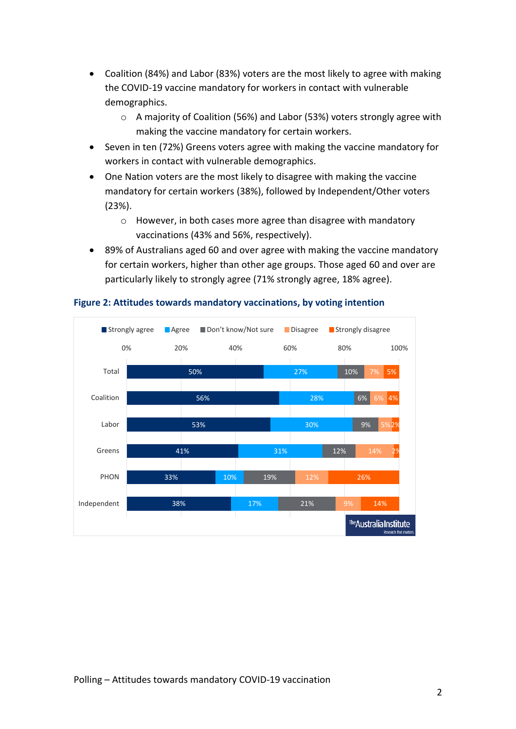- Coalition (84%) and Labor (83%) voters are the most likely to agree with making the COVID-19 vaccine mandatory for workers in contact with vulnerable demographics.
	- o A majority of Coalition (56%) and Labor (53%) voters strongly agree with making the vaccine mandatory for certain workers.
- Seven in ten (72%) Greens voters agree with making the vaccine mandatory for workers in contact with vulnerable demographics.
- One Nation voters are the most likely to disagree with making the vaccine mandatory for certain workers (38%), followed by Independent/Other voters (23%).
	- o However, in both cases more agree than disagree with mandatory vaccinations (43% and 56%, respectively).
- 89% of Australians aged 60 and over agree with making the vaccine mandatory for certain workers, higher than other age groups. Those aged 60 and over are particularly likely to strongly agree (71% strongly agree, 18% agree).



#### **Figure 2: Attitudes towards mandatory vaccinations, by voting intention**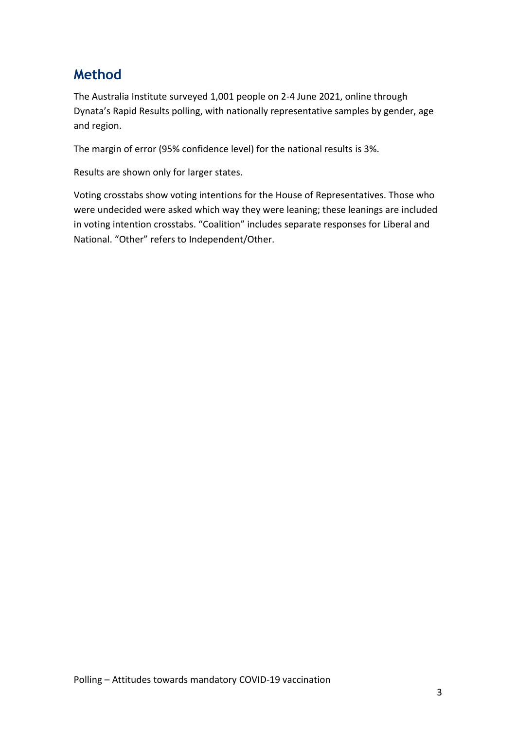### **Method**

The Australia Institute surveyed 1,001 people on 2-4 June 2021, online through Dynata's Rapid Results polling, with nationally representative samples by gender, age and region.

The margin of error (95% confidence level) for the national results is 3%.

Results are shown only for larger states.

Voting crosstabs show voting intentions for the House of Representatives. Those who were undecided were asked which way they were leaning; these leanings are included in voting intention crosstabs. "Coalition" includes separate responses for Liberal and National. "Other" refers to Independent/Other.